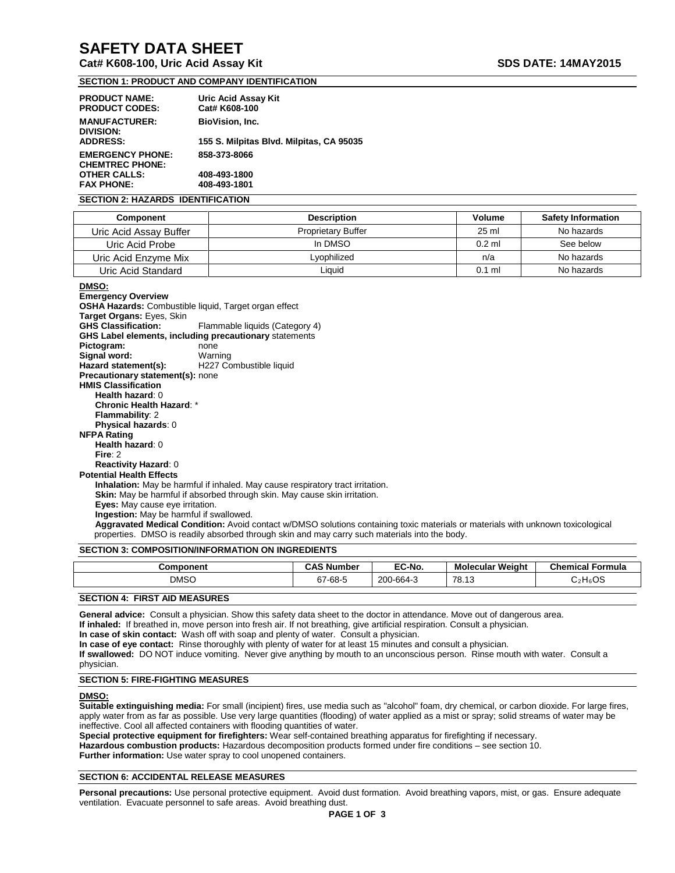# **SAFETY DATA SHEET**

# **Cat# K608-100, Uric Acid Assay Kit SDS DATE: 14MAY2015**

# **SECTION 1: PRODUCT AND COMPANY IDENTIFICATION**

| <b>PRODUCT NAME:</b><br><b>PRODUCT CODES:</b>     | Uric Acid Assay Kit<br>Cat# K608-100     |
|---------------------------------------------------|------------------------------------------|
| <b>MANUFACTURER:</b><br>DIVISION:                 | <b>BioVision, Inc.</b>                   |
| <b>ADDRESS:</b>                                   | 155 S. Milpitas Blvd. Milpitas, CA 95035 |
| <b>EMERGENCY PHONE:</b><br><b>CHEMTREC PHONE:</b> | 858-373-8066                             |
| <b>OTHER CALLS:</b>                               | 408-493-1800                             |
| <b>FAX PHONE:</b>                                 | 408-493-1801                             |

#### **SECTION 2: HAZARDS IDENTIFICATION**

| <b>Component</b>       | <b>Description</b>        | Volume   | <b>Safety Information</b> |
|------------------------|---------------------------|----------|---------------------------|
| Uric Acid Assay Buffer | <b>Proprietary Buffer</b> | $25$ ml  | No hazards                |
| Uric Acid Probe        | In DMSO                   | $0.2$ ml | See below                 |
| Uric Acid Enzyme Mix   | Lyophilized               | n/a      | No hazards                |
| Uric Acid Standard     | Liquid                    | $0.1$ m  | No hazards                |

**DMSO:**

**Emergency Overview OSHA Hazards:** Combustible liquid, Target organ effect **Target Organs:** Eyes, Skin Flammable liquids (Category 4) **GHS Label elements, including precautionary** statements **Pictogram:** none<br> **Signal word:** Warning **Signal word:** Hazard statement(s): H227 Combustible liquid **Precautionary statement(s):** none **HMIS Classification Health hazard**: 0 **Chronic Health Hazard**: \* **Flammability**: 2 **Physical hazards**: 0 **NFPA Rating Health hazard**: 0 **Fire**: 2 **Reactivity Hazard**: 0 **Potential Health Effects Inhalation:** May be harmful if inhaled. May cause respiratory tract irritation. **Skin:** May be harmful if absorbed through skin. May cause skin irritation. **Eyes:** May cause eye irritation. **Ingestion:** May be harmful if swallowed. **Aggravated Medical Condition:** Avoid contact w/DMSO solutions containing toxic materials or materials with unknown toxicological properties. DMSO is readily absorbed through skin and may carry such materials into the body.

#### **SECTION 3: COMPOSITION/INFORMATION ON INGREDIENTS**

| Component   | <b>CAS Number</b> | EC-No.         | <b>Molecular Weight</b> | <b>Chemical Formula</b> |
|-------------|-------------------|----------------|-------------------------|-------------------------|
| <b>DMSC</b> | $\sim$<br>67-68-5 | 200<br>0-664-3 | $-78.1$                 | ${\sf H}_6{\sf OS}$     |
|             |                   |                |                         |                         |

# **SECTION 4: FIRST AID MEASURES**

**General advice:** Consult a physician. Show this safety data sheet to the doctor in attendance. Move out of dangerous area. **If inhaled:** If breathed in, move person into fresh air. If not breathing, give artificial respiration. Consult a physician.

**In case of skin contact:** Wash off with soap and plenty of water. Consult a physician.

**In case of eye contact:** Rinse thoroughly with plenty of water for at least 15 minutes and consult a physician.

**If swallowed:** DO NOT induce vomiting. Never give anything by mouth to an unconscious person. Rinse mouth with water. Consult a physician.

# **SECTION 5: FIRE-FIGHTING MEASURES**

## **DMSO:**

**Suitable extinguishing media:** For small (incipient) fires, use media such as "alcohol" foam, dry chemical, or carbon dioxide. For large fires, apply water from as far as possible. Use very large quantities (flooding) of water applied as a mist or spray; solid streams of water may be ineffective. Cool all affected containers with flooding quantities of water.

**Special protective equipment for firefighters:** Wear self-contained breathing apparatus for firefighting if necessary. **Hazardous combustion products:** Hazardous decomposition products formed under fire conditions – see section 10.

**Further information:** Use water spray to cool unopened containers.

### **SECTION 6: ACCIDENTAL RELEASE MEASURES**

**Personal precautions:** Use personal protective equipment. Avoid dust formation. Avoid breathing vapors, mist, or gas. Ensure adequate ventilation. Evacuate personnel to safe areas. Avoid breathing dust.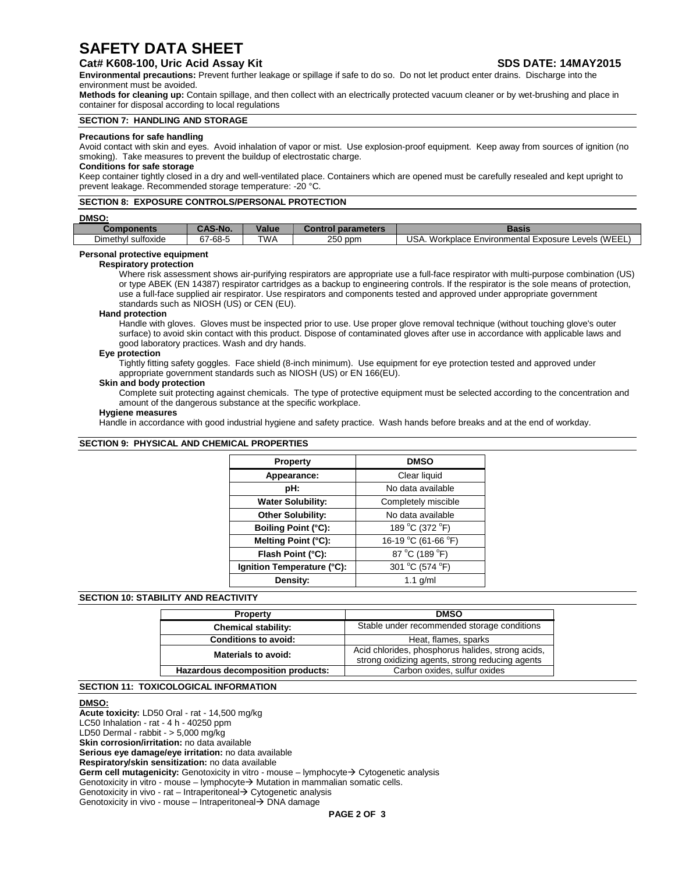# **SAFETY DATA SHEET**

# **Cat# K608-100, Uric Acid Assay Kit SDS DATE: 14MAY2015**

**Environmental precautions:** Prevent further leakage or spillage if safe to do so. Do not let product enter drains. Discharge into the environment must be avoided.

**Methods for cleaning up:** Contain spillage, and then collect with an electrically protected vacuum cleaner or by wet-brushing and place in container for disposal according to local regulations

### **SECTION 7: HANDLING AND STORAGE**

#### **Precautions for safe handling**

Avoid contact with skin and eyes. Avoid inhalation of vapor or mist. Use explosion-proof equipment. Keep away from sources of ignition (no smoking). Take measures to prevent the buildup of electrostatic charge.

#### **Conditions for safe storage**

Keep container tightly closed in a dry and well-ventilated place. Containers which are opened must be carefully resealed and kept upright to prevent leakage. Recommended storage temperature: -20 °C.

### **SECTION 8: EXPOSURE CONTROLS/PERSONAL PROTECTION**

#### **DMSO:**

| onents                                   | <b>CAS-No</b>       | .<br>√alue | parameters | <b>Tacic</b><br>pasıs                                                                                                             |
|------------------------------------------|---------------------|------------|------------|-----------------------------------------------------------------------------------------------------------------------------------|
| ÷.<br>$\cdot$<br>Dimethyl<br>' sultoxide | $-68-5$<br>~-<br>ΩI | <b>TWA</b> | 250<br>ppm | <b>JSA</b><br>$\Lambda$ <sub>N</sub> $\Gamma$ <sup>-</sup><br>Workplace<br>Exposure<br>Environmental<br>_evels<br>السابان المتحدث |
|                                          |                     |            |            |                                                                                                                                   |

# **Personal protective equipment**

#### **Respiratory protection**

Where risk assessment shows air-purifying respirators are appropriate use a full-face respirator with multi-purpose combination (US) or type ABEK (EN 14387) respirator cartridges as a backup to engineering controls. If the respirator is the sole means of protection, use a full-face supplied air respirator. Use respirators and components tested and approved under appropriate government standards such as NIOSH (US) or CEN (EU).

#### **Hand protection**

Handle with gloves. Gloves must be inspected prior to use. Use proper glove removal technique (without touching glove's outer surface) to avoid skin contact with this product. Dispose of contaminated gloves after use in accordance with applicable laws and good laboratory practices. Wash and dry hands.

#### **Eye protection**

Tightly fitting safety goggles. Face shield (8-inch minimum). Use equipment for eye protection tested and approved under appropriate government standards such as NIOSH (US) or EN 166(EU).

#### **Skin and body protection**

Complete suit protecting against chemicals. The type of protective equipment must be selected according to the concentration and amount of the dangerous substance at the specific workplace.

#### **Hygiene measures**

Handle in accordance with good industrial hygiene and safety practice. Wash hands before breaks and at the end of workday.

#### **SECTION 9: PHYSICAL AND CHEMICAL PROPERTIES** Ï

| <b>Property</b>            | <b>DMSO</b>         |
|----------------------------|---------------------|
| Appearance:                | Clear liquid        |
| pH:                        | No data available   |
| <b>Water Solubility:</b>   | Completely miscible |
| Other Solubility:          | No data available   |
| <b>Boiling Point (°C):</b> | 189 °C (372 °F)     |
| Melting Point (°C):        | 16-19 °C (61-66 °F) |
| Flash Point (°C):          | 87 °C (189 °F)      |
| Ignition Temperature (°C): | 301 °C (574 °F)     |
| Density:                   | $1.1$ g/ml          |

## **SECTION 10: STABILITY AND REACTIVITY**

| <b>DMSO</b><br><b>Property</b>                                    |                                                                                                      |
|-------------------------------------------------------------------|------------------------------------------------------------------------------------------------------|
| <b>Chemical stability:</b>                                        | Stable under recommended storage conditions                                                          |
| <b>Conditions to avoid:</b>                                       | Heat, flames, sparks                                                                                 |
| Materials to avoid:                                               | Acid chlorides, phosphorus halides, strong acids,<br>strong oxidizing agents, strong reducing agents |
| Carbon oxides, sulfur oxides<br>Hazardous decomposition products: |                                                                                                      |

# **SECTION 11: TOXICOLOGICAL INFORMATION**

#### **DMSO:**

**Acute toxicity:** LD50 Oral - rat - 14,500 mg/kg LC50 Inhalation - rat - 4 h - 40250 ppm LD50 Dermal - rabbit - > 5,000 mg/kg **Skin corrosion/irritation:** no data available **Serious eye damage/eye irritation:** no data available **Respiratory/skin sensitization:** no data available Germ cell mutagenicity: Genotoxicity in vitro - mouse – lymphocyte > Cytogenetic analysis Genotoxicity in vitro - mouse – lymphocyte $\rightarrow$  Mutation in mammalian somatic cells. Genotoxicity in vivo - rat – Intraperitoneal  $\rightarrow$  Cytogenetic analysis Genotoxicity in vivo - mouse – Intraperitoneal  $\rightarrow$  DNA damage